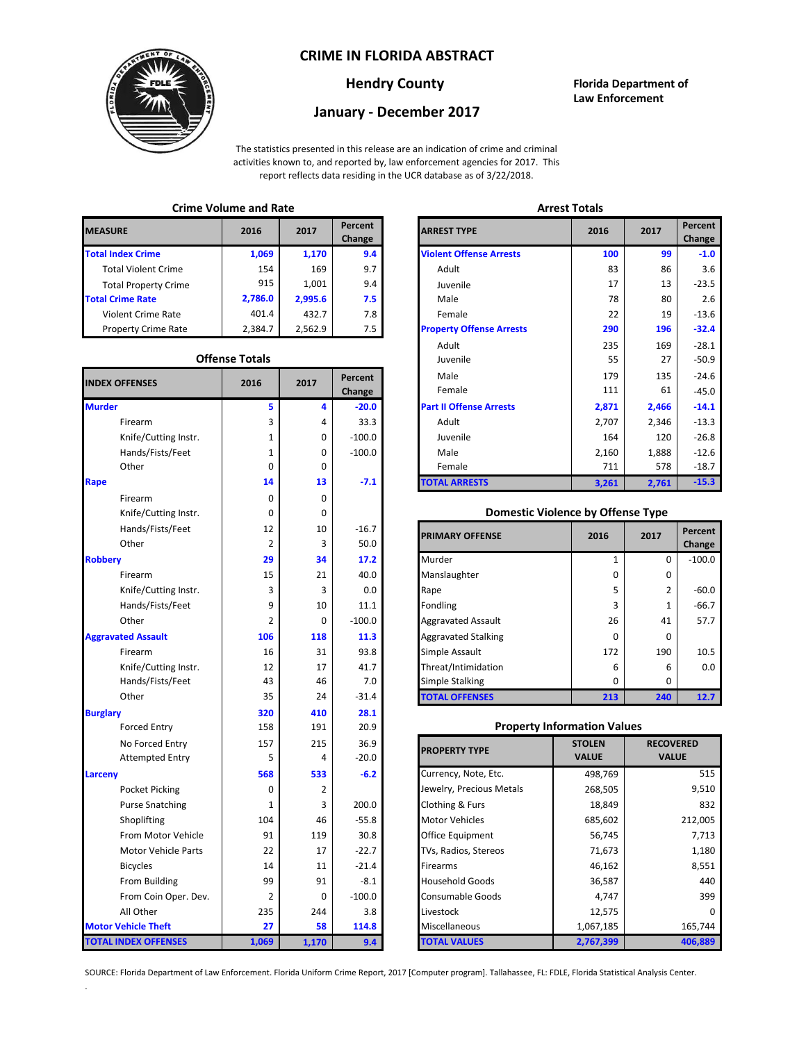## **CRIME IN FLORIDA ABSTRACT**



### **Hendry County Florida Department of Law Enforcement**

# **January - December 2017**

The statistics presented in this release are an indication of crime and criminal activities known to, and reported by, law enforcement agencies for 2017. This report reflects data residing in the UCR database as of 3/22/2018.

# **Crime Volume and Rate Arrest Totals**

| <b>MEASURE</b>              | 2016    | 2017    | Percent<br>Change | <b>ARREST TYPE</b>             |
|-----------------------------|---------|---------|-------------------|--------------------------------|
| <b>Total Index Crime</b>    | 1,069   | 1,170   | 9.4               | <b>Violent Offense Arrests</b> |
| <b>Total Violent Crime</b>  | 154     | 169     | 9.7               | Adult                          |
| <b>Total Property Crime</b> | 915     | 1,001   | 9.4               | Juvenile                       |
| <b>Total Crime Rate</b>     | 2,786.0 | 2.995.6 | 7.5               | Male                           |
| <b>Violent Crime Rate</b>   | 401.4   | 432.7   | 7.8               | Female                         |
| <b>Property Crime Rate</b>  | 2.384.7 | 2.562.9 | 7.5               | <b>Property Offense Arrest</b> |

#### **Offense Totals**

| <b>INDEX OFFENSES</b>       | 2016           | 2017  | Percent<br>Change | Male<br>Female                           | 179<br>111    | 135<br>61    | $-24.6$<br>$-45.0$ |
|-----------------------------|----------------|-------|-------------------|------------------------------------------|---------------|--------------|--------------------|
| <b>Murder</b>               | 5              | 4     | $-20.0$           | <b>Part II Offense Arrests</b>           | 2,871         | 2,466        | $-14.1$            |
| Firearm                     | 3              | 4     | 33.3              | Adult                                    | 2,707         | 2,346        | $-13.3$            |
| Knife/Cutting Instr.        | 1              | 0     | $-100.0$          | Juvenile                                 | 164           | 120          | $-26.8$            |
| Hands/Fists/Feet            | 1              | 0     | $-100.0$          | Male                                     | 2,160         | 1,888        | $-12.6$            |
| Other                       | $\mathbf 0$    | 0     |                   | Female                                   | 711           | 578          | $-18.7$            |
| Rape                        | 14             | 13    | $-7.1$            | <b>TOTAL ARRESTS</b>                     | 3,261         | 2,761        | $-15.3$            |
| Firearm                     | 0              | 0     |                   |                                          |               |              |                    |
| Knife/Cutting Instr.        | $\mathbf 0$    | 0     |                   | <b>Domestic Violence by Offense Type</b> |               |              |                    |
| Hands/Fists/Feet            | 12             | 10    | $-16.7$           | <b>PRIMARY OFFENSE</b>                   | 2016          | 2017         | Percent            |
| Other                       | $\overline{2}$ | 3     | 50.0              |                                          |               |              | Change             |
| <b>Robbery</b>              | 29             | 34    | 17.2              | Murder                                   | $\mathbf 1$   | 0            | $-100.0$           |
| Firearm                     | 15             | 21    | 40.0              | Manslaughter                             | $\Omega$      | $\mathbf 0$  |                    |
| Knife/Cutting Instr.        | 3              | 3     | 0.0               | Rape                                     | 5             | 2            | $-60.0$            |
| Hands/Fists/Feet            | 9              | 10    | 11.1              | Fondling                                 | 3             | $\mathbf{1}$ | $-66.7$            |
| Other                       | $\overline{2}$ | 0     | $-100.0$          | <b>Aggravated Assault</b>                | 26            | 41           | 57.7               |
| <b>Aggravated Assault</b>   | 106            | 118   | 11.3              | <b>Aggravated Stalking</b>               | 0             | $\mathbf 0$  |                    |
| Firearm                     | 16             | 31    | 93.8              | Simple Assault                           | 172           | 190          | 10.5               |
| Knife/Cutting Instr.        | 12             | 17    | 41.7              | Threat/Intimidation                      | 6             | 6            | 0.0                |
| Hands/Fists/Feet            | 43             | 46    | 7.0               | <b>Simple Stalking</b>                   | $\Omega$      | $\Omega$     |                    |
| Other                       | 35             | 24    | $-31.4$           | <b>TOTAL OFFENSES</b>                    | 213           | 240          | 12.7               |
| <b>Burglary</b>             | 320            | 410   | 28.1              |                                          |               |              |                    |
| <b>Forced Entry</b>         | 158            | 191   | 20.9              | <b>Property Information Values</b>       |               |              |                    |
| No Forced Entry             | 157            | 215   | 36.9              | <b>PROPERTY TYPE</b>                     | <b>STOLEN</b> |              | <b>RECOVERED</b>   |
| <b>Attempted Entry</b>      | 5              | 4     | $-20.0$           |                                          | <b>VALUE</b>  | <b>VALUE</b> |                    |
| Larceny                     | 568            | 533   | $-6.2$            | Currency, Note, Etc.                     | 498,769       |              | 515                |
| Pocket Picking              | $\mathbf 0$    | 2     |                   | Jewelry, Precious Metals                 | 268,505       |              | 9,510              |
| <b>Purse Snatching</b>      | 1              | 3     | 200.0             | Clothing & Furs                          | 18,849        |              | 832                |
| Shoplifting                 | 104            | 46    | $-55.8$           | <b>Motor Vehicles</b>                    | 685,602       |              | 212,005            |
| From Motor Vehicle          | 91             | 119   | 30.8              | Office Equipment                         | 56,745        |              | 7,713              |
| <b>Motor Vehicle Parts</b>  | 22             | 17    | $-22.7$           | TVs, Radios, Stereos                     | 71,673        |              | 1,180              |
| <b>Bicycles</b>             | 14             | 11    | $-21.4$           | Firearms                                 | 46,162        |              | 8,551              |
| From Building               | 99             | 91    | $-8.1$            | <b>Household Goods</b>                   | 36,587        |              | 440                |
| From Coin Oper. Dev.        | 2              | 0     | $-100.0$          | Consumable Goods                         | 4,747         | 399          |                    |
| All Other                   | 235            | 244   | 3.8               | Livestock                                | 12,575        |              | $\Omega$           |
| <b>Motor Vehicle Theft</b>  | 27             | 58    | 114.8             | Miscellaneous                            | 1,067,185     |              | 165,744            |
| <b>TOTAL INDEX OFFENSES</b> | 1,069          | 1,170 | 9.4               | <b>TOTAL VALUES</b>                      | 2,767,399     |              | 406,889            |

.

| Chine voiding and nate |                       |         |                          |                                 | лп сэг тогатэ |       |                   |  |
|------------------------|-----------------------|---------|--------------------------|---------------------------------|---------------|-------|-------------------|--|
| RΕ                     | 2016                  | 2017    | <b>Percent</b><br>Change | <b>ARREST TYPE</b>              | 2016          | 2017  | Percent<br>Change |  |
| dex Crime              | 1,069                 | 1,170   | 9.4                      | <b>Violent Offense Arrests</b>  | 100           | 99    | $-1.0$            |  |
| Il Violent Crime       | 154                   | 169     | 9.7                      | Adult                           | 83            | 86    | 3.6               |  |
| Il Property Crime      | 915                   | 1,001   | 9.4                      | Juvenile                        | 17            | 13    | $-23.5$           |  |
| me Rate                | 2,786.0               | 2,995.6 | 7.5                      | Male                            | 78            | 80    | 2.6               |  |
| ent Crime Rate         | 401.4                 | 432.7   | 7.8                      | Female                          | 22            | 19    | $-13.6$           |  |
| erty Crime Rate        | 2,384.7               | 2,562.9 | 7.5                      | <b>Property Offense Arrests</b> | 290           | 196   | $-32.4$           |  |
|                        |                       |         |                          | Adult                           | 235           | 169   | $-28.1$           |  |
|                        | <b>Offense Totals</b> |         |                          | Juvenile                        | 55            | 27    | $-50.9$           |  |
| <b>FFENSES</b>         | 2016                  | 2017    | Percent                  | Male                            | 179           | 135   | $-24.6$           |  |
|                        |                       |         | Change                   | Female                          | 111           | 61    | $-45.0$           |  |
|                        | 5                     | 4       | $-20.0$                  | <b>Part II Offense Arrests</b>  | 2,871         | 2,466 | $-14.1$           |  |
| Firearm                | 3                     | 4       | 33.3                     | Adult                           | 2,707         | 2,346 | $-13.3$           |  |
| Knife/Cutting Instr.   | 1                     | 0       | $-100.0$                 | Juvenile                        | 164           | 120   | $-26.8$           |  |
| Hands/Fists/Feet       | 1                     | 0       | $-100.0$                 | Male                            | 2,160         | 1,888 | $-12.6$           |  |
| Other                  | 0                     | 0       |                          | Female                          | 711           | 578   | $-18.7$           |  |
|                        | 14                    | 13      | $-7.1$                   | <b>TOTAL ARRESTS</b>            | 3,261         | 2,761 | $-15.3$           |  |
|                        |                       |         |                          |                                 |               |       |                   |  |

#### 0 **Domestic Violence by Offense Type**

| Hands/Fists/Feet<br>Other | 12  | 10<br>3 | $-16.7$<br>50.0 | <b>PRIMARY OFFENSE</b>     | 2016         | 2017 | Percent<br>Change |
|---------------------------|-----|---------|-----------------|----------------------------|--------------|------|-------------------|
|                           | 29  | 34      | 17.2            | Murder                     |              | 0    | $-100.0$          |
| Firearm                   | 15  | 21      | 40.0            | Manslaughter               | <sup>0</sup> | 0    |                   |
| Knife/Cutting Instr.      | 3   | 3       | 0.0             | Rape                       |              | 2    | $-60.0$           |
| Hands/Fists/Feet          | 9   | 10      | 11.1            | <b>Fondling</b>            |              |      | $-66.7$           |
| Other                     |     | 0       | $-100.0$        | <b>Aggravated Assault</b>  | 26           | 41   | 57.7              |
| ted Assault               | 106 | 118     | 11.3            | <b>Aggravated Stalking</b> | $\Omega$     | 0    |                   |
| Firearm                   | 16  | 31      | 93.8            | Simple Assault             | 172          | 190  | 10.5              |
| Knife/Cutting Instr.      | 12  | 17      | 41.7            | Threat/Intimidation        | 6            | 6    | 0.0               |
| Hands/Fists/Feet          | 43  | 46      | 7.0             | <b>Simple Stalking</b>     | $\Omega$     | 0    |                   |
| Other                     | 35  | 24      | $-31.4$         | <b>TOTAL OFFENSES</b>      | 213          | 240  | 12.7              |

#### **Property Information Values**

| 157      | 215         | 36.9     | <b>PROPERTY TYPE</b>     | <b>STOLEN</b> | <b>RECOVERED</b> |
|----------|-------------|----------|--------------------------|---------------|------------------|
| 5        | 4           | $-20.0$  |                          | <b>VALUE</b>  | <b>VALUE</b>     |
| 568      | 533         | $-6.2$   | Currency, Note, Etc.     | 498,769       | 515              |
| $\Omega$ | 2           |          | Jewelry, Precious Metals | 268,505       | 9,510            |
|          | 3           | 200.0    | Clothing & Furs          | 18,849        | 832              |
| 104      | 46          | $-55.8$  | <b>Motor Vehicles</b>    | 685,602       | 212,005          |
| 91       | 119         | 30.8     | Office Equipment         | 56,745        | 7,713            |
| 22       | 17          | $-22.7$  | TVs, Radios, Stereos     | 71,673        | 1,180            |
| 14       | 11          | $-21.4$  | <b>Firearms</b>          | 46,162        | 8,551            |
| 99       | 91          | $-8.1$   | <b>Household Goods</b>   | 36,587        | 440              |
| 2        | $\mathbf 0$ | $-100.0$ | <b>Consumable Goods</b>  | 4,747         | 399              |
| 235      | 244         | 3.8      | Livestock                | 12,575        | O                |
| 27       | 58          | 114.8    | Miscellaneous            | 1,067,185     | 165,744          |
| 069      | 1,170       | 9.4      | TOTAL VALUES             | 2,767,399     | 406,889          |

SOURCE: Florida Department of Law Enforcement. Florida Uniform Crime Report, 2017 [Computer program]. Tallahassee, FL: FDLE, Florida Statistical Analysis Center.